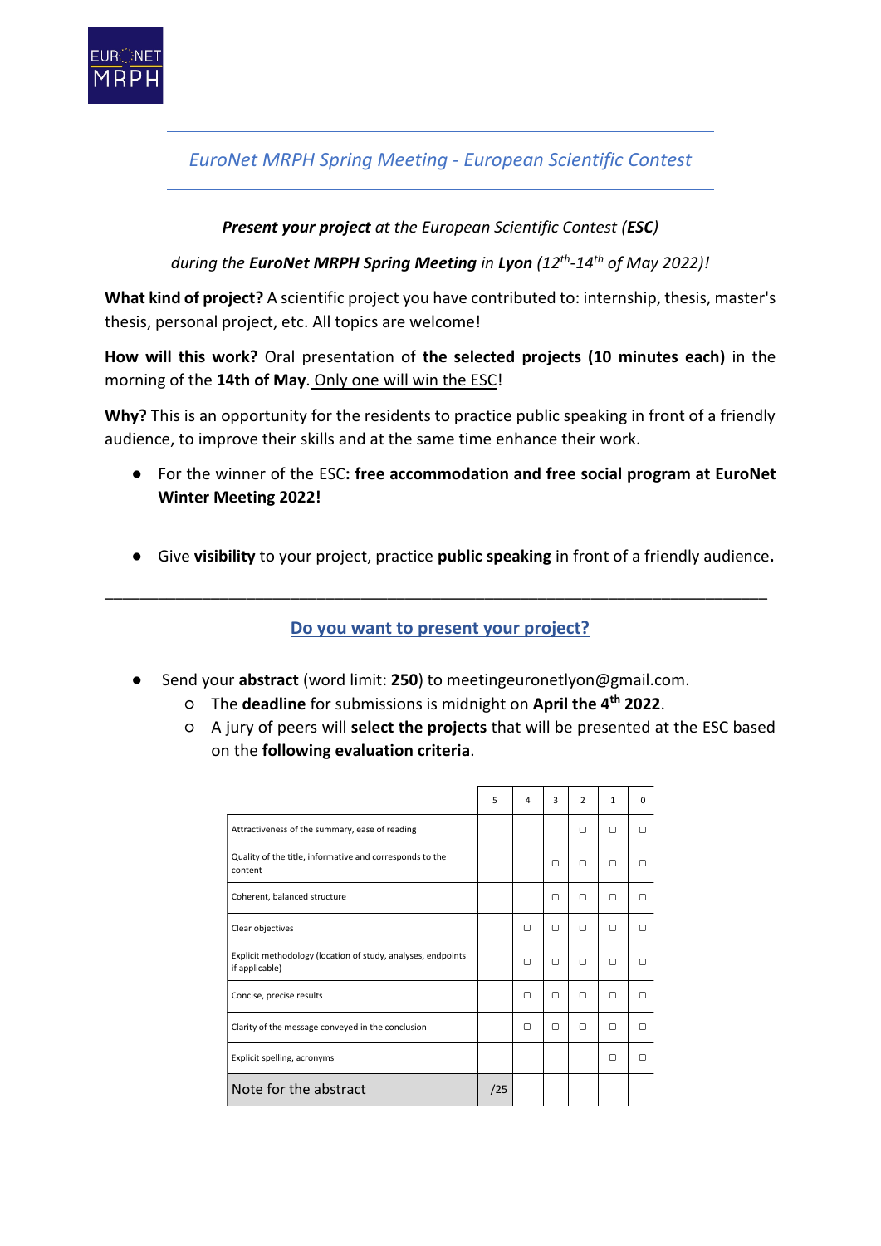

*EuroNet MRPH Spring Meeting - European Scientific Contest*

## *Present your project at the European Scientific Contest (ESC)*

*during the EuroNet MRPH Spring Meeting in Lyon (12th -14th of May 2022)!*

**What kind of project?** A scientific project you have contributed to: internship, thesis, master's thesis, personal project, etc. All topics are welcome!

**How will this work?** Oral presentation of **the selected projects (10 minutes each)** in the morning of the **14th of May**. Only one will win the ESC!

**Why?** This is an opportunity for the residents to practice public speaking in front of a friendly audience, to improve their skills and at the same time enhance their work.

- For the winner of the ESC**: free accommodation and free social program at EuroNet Winter Meeting 2022!**
- Give **visibility** to your project, practice **public speaking** in front of a friendly audience**.**

**Do you want to present your project?**

\_\_\_\_\_\_\_\_\_\_\_\_\_\_\_\_\_\_\_\_\_\_\_\_\_\_\_\_\_\_\_\_\_\_\_\_\_\_\_\_\_\_\_\_\_\_\_\_\_\_\_\_\_\_\_\_\_\_\_\_\_\_\_\_\_\_\_\_\_\_\_\_\_\_\_

- Send your **abstract** (word limit: **250**) to meetingeuronetlyon@gmail.com.
	- The **deadline** for submissions is midnight on **April the 4th 2022**.
	- A jury of peers will **select the projects** that will be presented at the ESC based on the **following evaluation criteria**.

|                                                                                | 5   | 4 | 3 | $\overline{2}$ | $\mathbf{1}$ | $\Omega$ |
|--------------------------------------------------------------------------------|-----|---|---|----------------|--------------|----------|
| Attractiveness of the summary, ease of reading                                 |     |   |   | $\Box$         | ∩            | ∩        |
| Quality of the title, informative and corresponds to the<br>content            |     |   | ∩ | ◘              | ∩            | п        |
| Coherent, balanced structure                                                   |     |   | ∩ | ∩              | ∩            |          |
| Clear objectives                                                               |     | ◘ | ∩ | ▢              | ∩            |          |
| Explicit methodology (location of study, analyses, endpoints<br>if applicable) |     | ◘ | ▢ | $\Box$         | ◘            |          |
| Concise, precise results                                                       |     | ◘ | ▢ | $\Box$         | ◘            | п        |
| Clarity of the message conveyed in the conclusion                              |     | ◘ | ∩ | □              | ∩            | ∩        |
| Explicit spelling, acronyms                                                    |     |   |   |                | ∩            |          |
| Note for the abstract                                                          | /25 |   |   |                |              |          |